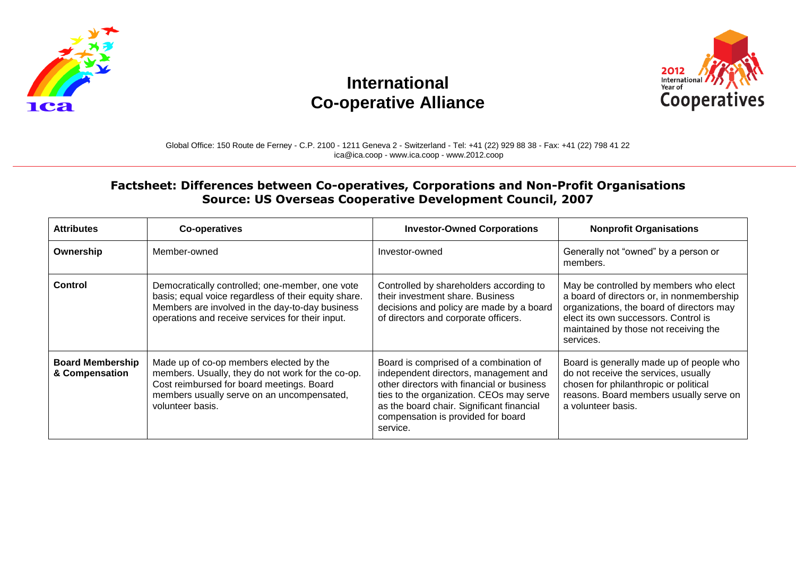

## **International Co-operative Alliance**



## Global Office: 150 Route de Ferney - C.P. 2100 - 1211 Geneva 2 - Switzerland - Tel: +41 (22) 929 88 38 - Fax: +41 (22) 798 41 22 ica@ica.coop - www.ica.coop - www.2012.coop

## **Factsheet: Differences between Co-operatives, Corporations and Non-Profit Organisations Source: US Overseas Cooperative Development Council, 2007**

| <b>Attributes</b>                         | <b>Co-operatives</b>                                                                                                                                                                                           | <b>Investor-Owned Corporations</b>                                                                                                                                                                                                                                       | <b>Nonprofit Organisations</b>                                                                                                                                                                                                 |
|-------------------------------------------|----------------------------------------------------------------------------------------------------------------------------------------------------------------------------------------------------------------|--------------------------------------------------------------------------------------------------------------------------------------------------------------------------------------------------------------------------------------------------------------------------|--------------------------------------------------------------------------------------------------------------------------------------------------------------------------------------------------------------------------------|
| Ownership                                 | Member-owned                                                                                                                                                                                                   | Investor-owned                                                                                                                                                                                                                                                           | Generally not "owned" by a person or<br>members.                                                                                                                                                                               |
| Control                                   | Democratically controlled; one-member, one vote<br>basis; equal voice regardless of their equity share.<br>Members are involved in the day-to-day business<br>operations and receive services for their input. | Controlled by shareholders according to<br>their investment share. Business<br>decisions and policy are made by a board<br>of directors and corporate officers.                                                                                                          | May be controlled by members who elect<br>a board of directors or, in nonmembership<br>organizations, the board of directors may<br>elect its own successors. Control is<br>maintained by those not receiving the<br>services. |
| <b>Board Membership</b><br>& Compensation | Made up of co-op members elected by the<br>members. Usually, they do not work for the co-op.<br>Cost reimbursed for board meetings. Board<br>members usually serve on an uncompensated,<br>volunteer basis.    | Board is comprised of a combination of<br>independent directors, management and<br>other directors with financial or business<br>ties to the organization. CEOs may serve<br>as the board chair. Significant financial<br>compensation is provided for board<br>service. | Board is generally made up of people who<br>do not receive the services, usually<br>chosen for philanthropic or political<br>reasons. Board members usually serve on<br>a volunteer basis.                                     |